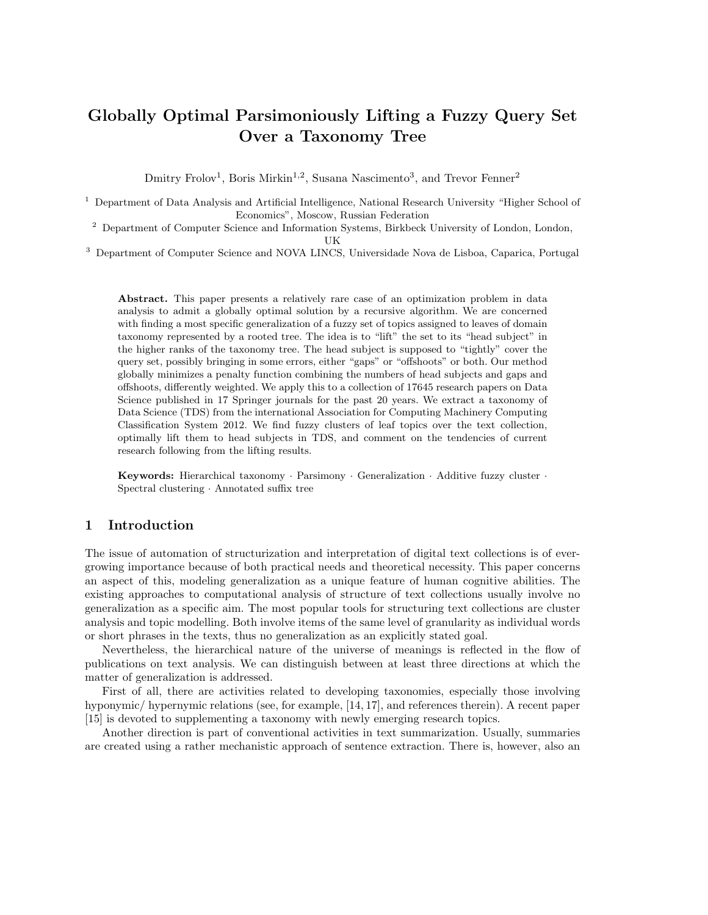# Globally Optimal Parsimoniously Lifting a Fuzzy Query Set Over a Taxonomy Tree

Dmitry Frolov<sup>1</sup>, Boris Mirkin<sup>1,2</sup>, Susana Nascimento<sup>3</sup>, and Trevor Fenner<sup>2</sup>

<sup>1</sup> Department of Data Analysis and Artificial Intelligence, National Research University "Higher School of Economics", Moscow, Russian Federation

<sup>2</sup> Department of Computer Science and Information Systems, Birkbeck University of London, London, UK

<sup>3</sup> Department of Computer Science and NOVA LINCS, Universidade Nova de Lisboa, Caparica, Portugal

Abstract. This paper presents a relatively rare case of an optimization problem in data analysis to admit a globally optimal solution by a recursive algorithm. We are concerned with finding a most specific generalization of a fuzzy set of topics assigned to leaves of domain taxonomy represented by a rooted tree. The idea is to "lift" the set to its "head subject" in the higher ranks of the taxonomy tree. The head subject is supposed to "tightly" cover the query set, possibly bringing in some errors, either "gaps" or "offshoots" or both. Our method globally minimizes a penalty function combining the numbers of head subjects and gaps and offshoots, differently weighted. We apply this to a collection of 17645 research papers on Data Science published in 17 Springer journals for the past 20 years. We extract a taxonomy of Data Science (TDS) from the international Association for Computing Machinery Computing Classification System 2012. We find fuzzy clusters of leaf topics over the text collection, optimally lift them to head subjects in TDS, and comment on the tendencies of current research following from the lifting results.

**Keywords:** Hierarchical taxonomy  $\cdot$  Parsimony  $\cdot$  Generalization  $\cdot$  Additive fuzzy cluster  $\cdot$ Spectral clustering · Annotated suffix tree

# 1 Introduction

The issue of automation of structurization and interpretation of digital text collections is of evergrowing importance because of both practical needs and theoretical necessity. This paper concerns an aspect of this, modeling generalization as a unique feature of human cognitive abilities. The existing approaches to computational analysis of structure of text collections usually involve no generalization as a specific aim. The most popular tools for structuring text collections are cluster analysis and topic modelling. Both involve items of the same level of granularity as individual words or short phrases in the texts, thus no generalization as an explicitly stated goal.

Nevertheless, the hierarchical nature of the universe of meanings is reflected in the flow of publications on text analysis. We can distinguish between at least three directions at which the matter of generalization is addressed.

First of all, there are activities related to developing taxonomies, especially those involving hyponymic/ hypernymic relations (see, for example, [14, 17], and references therein). A recent paper [15] is devoted to supplementing a taxonomy with newly emerging research topics.

Another direction is part of conventional activities in text summarization. Usually, summaries are created using a rather mechanistic approach of sentence extraction. There is, however, also an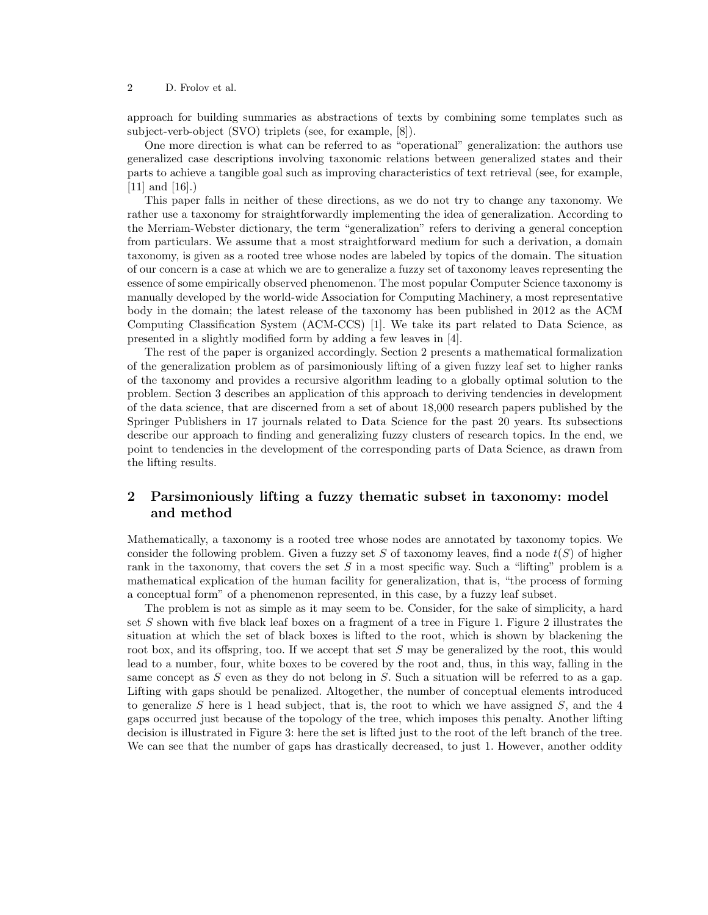approach for building summaries as abstractions of texts by combining some templates such as subject-verb-object (SVO) triplets (see, for example, [8]).

One more direction is what can be referred to as "operational" generalization: the authors use generalized case descriptions involving taxonomic relations between generalized states and their parts to achieve a tangible goal such as improving characteristics of text retrieval (see, for example, [11] and [16].)

This paper falls in neither of these directions, as we do not try to change any taxonomy. We rather use a taxonomy for straightforwardly implementing the idea of generalization. According to the Merriam-Webster dictionary, the term "generalization" refers to deriving a general conception from particulars. We assume that a most straightforward medium for such a derivation, a domain taxonomy, is given as a rooted tree whose nodes are labeled by topics of the domain. The situation of our concern is a case at which we are to generalize a fuzzy set of taxonomy leaves representing the essence of some empirically observed phenomenon. The most popular Computer Science taxonomy is manually developed by the world-wide Association for Computing Machinery, a most representative body in the domain; the latest release of the taxonomy has been published in 2012 as the ACM Computing Classification System (ACM-CCS) [1]. We take its part related to Data Science, as presented in a slightly modified form by adding a few leaves in [4].

The rest of the paper is organized accordingly. Section 2 presents a mathematical formalization of the generalization problem as of parsimoniously lifting of a given fuzzy leaf set to higher ranks of the taxonomy and provides a recursive algorithm leading to a globally optimal solution to the problem. Section 3 describes an application of this approach to deriving tendencies in development of the data science, that are discerned from a set of about 18,000 research papers published by the Springer Publishers in 17 journals related to Data Science for the past 20 years. Its subsections describe our approach to finding and generalizing fuzzy clusters of research topics. In the end, we point to tendencies in the development of the corresponding parts of Data Science, as drawn from the lifting results.

# 2 Parsimoniously lifting a fuzzy thematic subset in taxonomy: model and method

Mathematically, a taxonomy is a rooted tree whose nodes are annotated by taxonomy topics. We consider the following problem. Given a fuzzy set S of taxonomy leaves, find a node  $t(S)$  of higher rank in the taxonomy, that covers the set  $S$  in a most specific way. Such a "lifting" problem is a mathematical explication of the human facility for generalization, that is, "the process of forming a conceptual form" of a phenomenon represented, in this case, by a fuzzy leaf subset.

The problem is not as simple as it may seem to be. Consider, for the sake of simplicity, a hard set  $S$  shown with five black leaf boxes on a fragment of a tree in Figure 1. Figure 2 illustrates the situation at which the set of black boxes is lifted to the root, which is shown by blackening the root box, and its offspring, too. If we accept that set S may be generalized by the root, this would lead to a number, four, white boxes to be covered by the root and, thus, in this way, falling in the same concept as  $S$  even as they do not belong in  $S$ . Such a situation will be referred to as a gap. Lifting with gaps should be penalized. Altogether, the number of conceptual elements introduced to generalize  $S$  here is 1 head subject, that is, the root to which we have assigned  $S$ , and the 4 gaps occurred just because of the topology of the tree, which imposes this penalty. Another lifting decision is illustrated in Figure 3: here the set is lifted just to the root of the left branch of the tree. We can see that the number of gaps has drastically decreased, to just 1. However, another oddity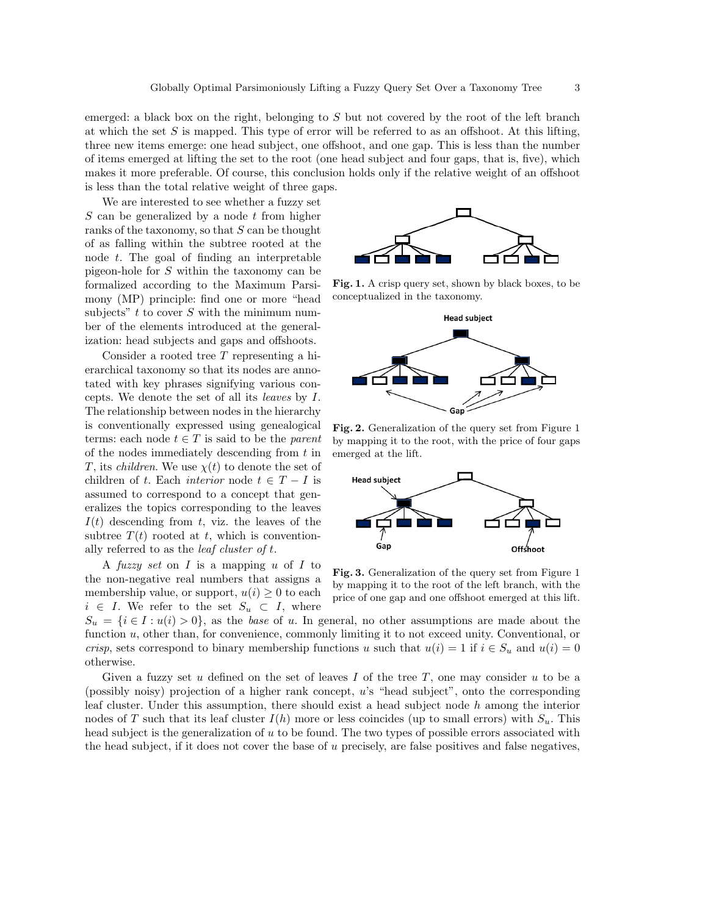emerged: a black box on the right, belonging to  $S$  but not covered by the root of the left branch at which the set  $S$  is mapped. This type of error will be referred to as an offshoot. At this lifting, three new items emerge: one head subject, one offshoot, and one gap. This is less than the number of items emerged at lifting the set to the root (one head subject and four gaps, that is, five), which makes it more preferable. Of course, this conclusion holds only if the relative weight of an offshoot is less than the total relative weight of three gaps.

We are interested to see whether a fuzzy set S can be generalized by a node t from higher ranks of the taxonomy, so that  $S$  can be thought of as falling within the subtree rooted at the node t. The goal of finding an interpretable pigeon-hole for S within the taxonomy can be formalized according to the Maximum Parsimony (MP) principle: find one or more "head subjects"  $t$  to cover  $S$  with the minimum number of the elements introduced at the generalization: head subjects and gaps and offshoots.

Consider a rooted tree T representing a hierarchical taxonomy so that its nodes are annotated with key phrases signifying various concepts. We denote the set of all its leaves by I. The relationship between nodes in the hierarchy is conventionally expressed using genealogical terms: each node  $t \in T$  is said to be the *parent* of the nodes immediately descending from t in T, its *children*. We use  $\chi(t)$  to denote the set of children of t. Each *interior* node  $t \in T - I$  is assumed to correspond to a concept that generalizes the topics corresponding to the leaves  $I(t)$  descending from t, viz. the leaves of the subtree  $T(t)$  rooted at t, which is conventionally referred to as the *leaf cluster of t*.

A fuzzy set on  $I$  is a mapping  $u$  of  $I$  to the non-negative real numbers that assigns a membership value, or support,  $u(i) \geq 0$  to each  $i \in I$ . We refer to the set  $S_u \subset I$ , where



Fig. 1. A crisp query set, shown by black boxes, to be conceptualized in the taxonomy.



Fig. 2. Generalization of the query set from Figure 1 by mapping it to the root, with the price of four gaps emerged at the lift.



Fig. 3. Generalization of the query set from Figure 1 by mapping it to the root of the left branch, with the price of one gap and one offshoot emerged at this lift.

 $S_u = \{i \in I : u(i) > 0\}$ , as the base of u. In general, no other assumptions are made about the function  $u$ , other than, for convenience, commonly limiting it to not exceed unity. Conventional, or crisp, sets correspond to binary membership functions u such that  $u(i) = 1$  if  $i \in S_u$  and  $u(i) = 0$ otherwise.

Given a fuzzy set u defined on the set of leaves I of the tree T, one may consider u to be a (possibly noisy) projection of a higher rank concept, u's "head subject", onto the corresponding leaf cluster. Under this assumption, there should exist a head subject node  $h$  among the interior nodes of T such that its leaf cluster  $I(h)$  more or less coincides (up to small errors) with  $S_u$ . This head subject is the generalization of  $u$  to be found. The two types of possible errors associated with the head subject, if it does not cover the base of u precisely, are false positives and false negatives,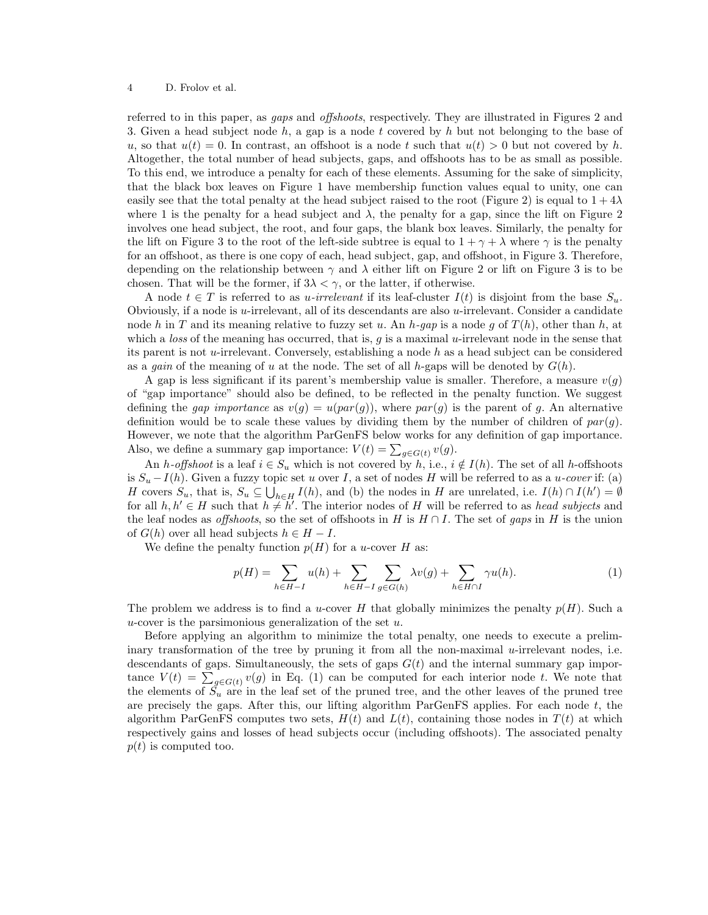referred to in this paper, as *gaps* and *offshoots*, respectively. They are illustrated in Figures 2 and 3. Given a head subject node h, a gap is a node t covered by h but not belonging to the base of u, so that  $u(t) = 0$ . In contrast, an offshoot is a node t such that  $u(t) > 0$  but not covered by h. Altogether, the total number of head subjects, gaps, and offshoots has to be as small as possible. To this end, we introduce a penalty for each of these elements. Assuming for the sake of simplicity, that the black box leaves on Figure 1 have membership function values equal to unity, one can easily see that the total penalty at the head subject raised to the root (Figure 2) is equal to  $1+4\lambda$ where 1 is the penalty for a head subject and  $\lambda$ , the penalty for a gap, since the lift on Figure 2 involves one head subject, the root, and four gaps, the blank box leaves. Similarly, the penalty for the lift on Figure 3 to the root of the left-side subtree is equal to  $1 + \gamma + \lambda$  where  $\gamma$  is the penalty for an offshoot, as there is one copy of each, head subject, gap, and offshoot, in Figure 3. Therefore, depending on the relationship between  $\gamma$  and  $\lambda$  either lift on Figure 2 or lift on Figure 3 is to be chosen. That will be the former, if  $3\lambda < \gamma$ , or the latter, if otherwise.

A node  $t \in T$  is referred to as u-irrelevant if its leaf-cluster  $I(t)$  is disjoint from the base  $S_u$ . Obviously, if a node is  $u$ -irrelevant, all of its descendants are also  $u$ -irrelevant. Consider a candidate node h in T and its meaning relative to fuzzy set u. An h-gap is a node g of  $T(h)$ , other than h, at which a loss of the meaning has occurred, that is, q is a maximal u-irrelevant node in the sense that its parent is not u-irrelevant. Conversely, establishing a node h as a head subject can be considered as a gain of the meaning of u at the node. The set of all h-gaps will be denoted by  $G(h)$ .

A gap is less significant if its parent's membership value is smaller. Therefore, a measure  $v(g)$ of "gap importance" should also be defined, to be reflected in the penalty function. We suggest defining the *gap importance* as  $v(g) = u(par(g))$ , where par(g) is the parent of g. An alternative definition would be to scale these values by dividing them by the number of children of  $par(g)$ . However, we note that the algorithm ParGenFS below works for any definition of gap importance. Also, we define a summary gap importance:  $V(t) = \sum_{g \in G(t)} v(g)$ .

An h-offshoot is a leaf  $i \in S_u$  which is not covered by h, i.e.,  $i \notin I(h)$ . The set of all h-offshoots is  $S_u - I(h)$ . Given a fuzzy topic set u over I, a set of nodes H will be referred to as a u-cover if: (a) H covers  $S_u$ , that is,  $S_u \subseteq \bigcup_{h \in H} I(h)$ , and (b) the nodes in H are unrelated, i.e.  $I(h) \cap I(h') = \emptyset$ for all  $h, h' \in H$  such that  $h \neq h'$ . The interior nodes of H will be referred to as head subjects and the leaf nodes as *offshoots*, so the set of offshoots in H is  $H \cap I$ . The set of gaps in H is the union of  $G(h)$  over all head subjects  $h \in H - I$ .

We define the penalty function  $p(H)$  for a *u*-cover H as:

$$
p(H) = \sum_{h \in H - I} u(h) + \sum_{h \in H - I} \sum_{g \in G(h)} \lambda v(g) + \sum_{h \in H \cap I} \gamma u(h).
$$
 (1)

The problem we address is to find a u-cover H that globally minimizes the penalty  $p(H)$ . Such a u-cover is the parsimonious generalization of the set  $u$ .

Before applying an algorithm to minimize the total penalty, one needs to execute a preliminary transformation of the tree by pruning it from all the non-maximal  $u$ -irrelevant nodes, i.e. descendants of gaps. Simultaneously, the sets of gaps  $G(t)$  and the internal summary gap importance  $V(t) = \sum_{g \in G(t)} v(g)$  in Eq. (1) can be computed for each interior node t. We note that the elements of  $S_u$  are in the leaf set of the pruned tree, and the other leaves of the pruned tree are precisely the gaps. After this, our lifting algorithm  $ParGenFS$  applies. For each node  $t$ , the algorithm ParGenFS computes two sets,  $H(t)$  and  $L(t)$ , containing those nodes in  $T(t)$  at which respectively gains and losses of head subjects occur (including offshoots). The associated penalty  $p(t)$  is computed too.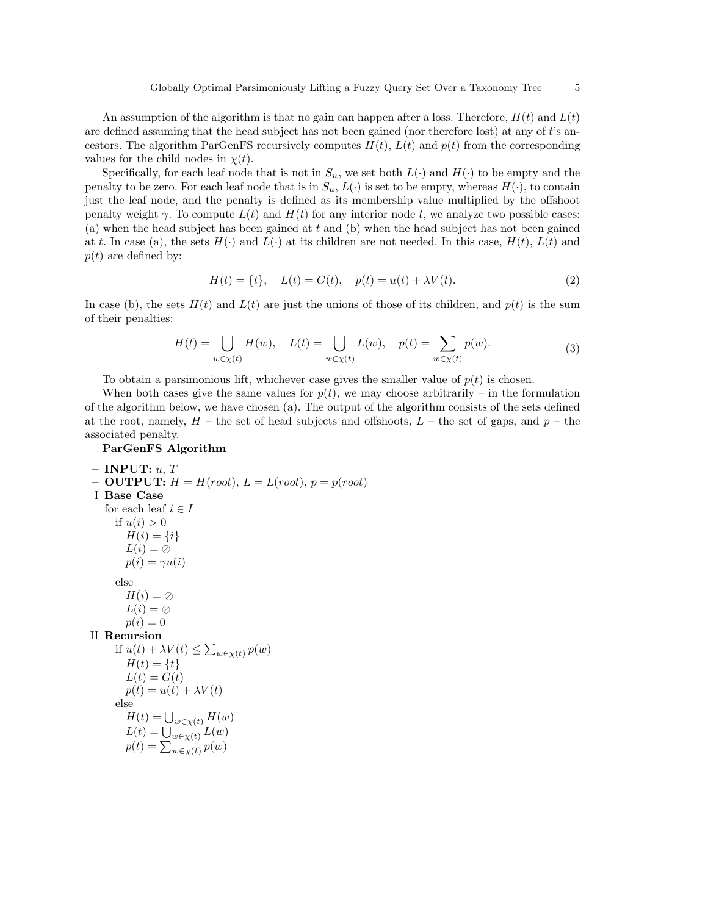An assumption of the algorithm is that no gain can happen after a loss. Therefore,  $H(t)$  and  $L(t)$ are defined assuming that the head subject has not been gained (nor therefore lost) at any of  $t$ 's ancestors. The algorithm ParGenFS recursively computes  $H(t)$ ,  $L(t)$  and  $p(t)$  from the corresponding values for the child nodes in  $\chi(t)$ .

Specifically, for each leaf node that is not in  $S_u$ , we set both  $L(\cdot)$  and  $H(\cdot)$  to be empty and the penalty to be zero. For each leaf node that is in  $S_u$ ,  $L(\cdot)$  is set to be empty, whereas  $H(\cdot)$ , to contain just the leaf node, and the penalty is defined as its membership value multiplied by the offshoot penalty weight  $\gamma$ . To compute  $L(t)$  and  $H(t)$  for any interior node t, we analyze two possible cases: (a) when the head subject has been gained at t and (b) when the head subject has not been gained at t. In case (a), the sets  $H(\cdot)$  and  $L(\cdot)$  at its children are not needed. In this case,  $H(t)$ ,  $L(t)$  and  $p(t)$  are defined by:

$$
H(t) = \{t\}, \quad L(t) = G(t), \quad p(t) = u(t) + \lambda V(t). \tag{2}
$$

In case (b), the sets  $H(t)$  and  $L(t)$  are just the unions of those of its children, and  $p(t)$  is the sum of their penalties:

$$
H(t) = \bigcup_{w \in \chi(t)} H(w), \quad L(t) = \bigcup_{w \in \chi(t)} L(w), \quad p(t) = \sum_{w \in \chi(t)} p(w).
$$
\n
$$
(3)
$$

To obtain a parsimonious lift, whichever case gives the smaller value of  $p(t)$  is chosen.

When both cases give the same values for  $p(t)$ , we may choose arbitrarily – in the formulation of the algorithm below, we have chosen (a). The output of the algorithm consists of the sets defined at the root, namely,  $H$  – the set of head subjects and offshoots,  $L$  – the set of gaps, and  $p$  – the associated penalty.

ParGenFS Algorithm

```
– INPUT: u, T- OUTPUT: H = H(root), L = L(root), p = p(root)I Base Case
for each leaf i \in Iif u(i) > 0H(i) = \{i\}L(i) = \oslashp(i) = \gamma u(i)else
     H(i) = \oslashL(i) = \oslashp(i) = 0II Recursion
   if u(t) + \lambda V(t) \leq \sum_{w \in \chi(t)} p(w)H(t) = \{t\}L(t) = G(t)p(t) = u(t) + \lambda V(t)else
      H(t) = \bigcup_{w \in \chi(t)} H(w)L(t) = \bigcup_{w \in \chi(t)} L(w)p(t) = \sum_{w \in \chi(t)} p(w)
```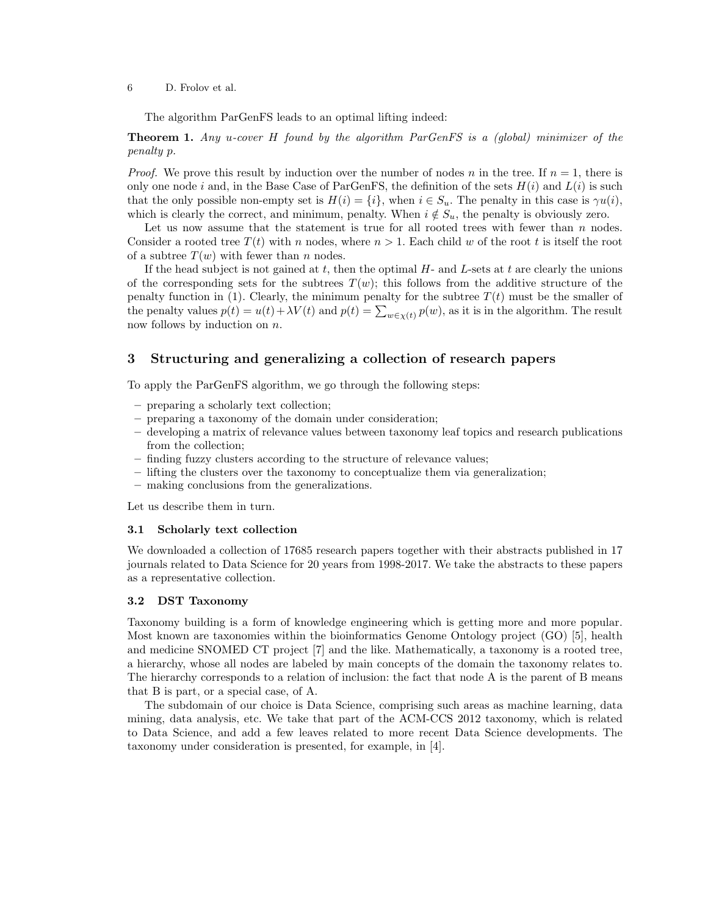The algorithm ParGenFS leads to an optimal lifting indeed:

**Theorem 1.** Any u-cover H found by the algorithm  $ParGenFS$  is a (global) minimizer of the penalty p.

*Proof.* We prove this result by induction over the number of nodes n in the tree. If  $n = 1$ , there is only one node i and, in the Base Case of ParGenFS, the definition of the sets  $H(i)$  and  $L(i)$  is such that the only possible non-empty set is  $H(i) = \{i\}$ , when  $i \in S_u$ . The penalty in this case is  $\gamma u(i)$ , which is clearly the correct, and minimum, penalty. When  $i \notin S_u$ , the penalty is obviously zero.

Let us now assume that the statement is true for all rooted trees with fewer than  $n$  nodes. Consider a rooted tree  $T(t)$  with n nodes, where  $n > 1$ . Each child w of the root t is itself the root of a subtree  $T(w)$  with fewer than n nodes.

If the head subject is not gained at t, then the optimal  $H$ - and  $L$ -sets at t are clearly the unions of the corresponding sets for the subtrees  $T(w)$ ; this follows from the additive structure of the penalty function in (1). Clearly, the minimum penalty for the subtree  $T(t)$  must be the smaller of the penalty values  $p(t) = u(t) + \lambda V(t)$  and  $p(t) = \sum_{w \in \chi(t)} p(w)$ , as it is in the algorithm. The result now follows by induction on  $n$ .

# 3 Structuring and generalizing a collection of research papers

To apply the ParGenFS algorithm, we go through the following steps:

- preparing a scholarly text collection;
- preparing a taxonomy of the domain under consideration;
- developing a matrix of relevance values between taxonomy leaf topics and research publications from the collection;
- finding fuzzy clusters according to the structure of relevance values;
- lifting the clusters over the taxonomy to conceptualize them via generalization;
- making conclusions from the generalizations.

Let us describe them in turn.

#### 3.1 Scholarly text collection

We downloaded a collection of 17685 research papers together with their abstracts published in 17 journals related to Data Science for 20 years from 1998-2017. We take the abstracts to these papers as a representative collection.

## 3.2 DST Taxonomy

Taxonomy building is a form of knowledge engineering which is getting more and more popular. Most known are taxonomies within the bioinformatics Genome Ontology project (GO) [5], health and medicine SNOMED CT project [7] and the like. Mathematically, a taxonomy is a rooted tree, a hierarchy, whose all nodes are labeled by main concepts of the domain the taxonomy relates to. The hierarchy corresponds to a relation of inclusion: the fact that node A is the parent of B means that B is part, or a special case, of A.

The subdomain of our choice is Data Science, comprising such areas as machine learning, data mining, data analysis, etc. We take that part of the ACM-CCS 2012 taxonomy, which is related to Data Science, and add a few leaves related to more recent Data Science developments. The taxonomy under consideration is presented, for example, in [4].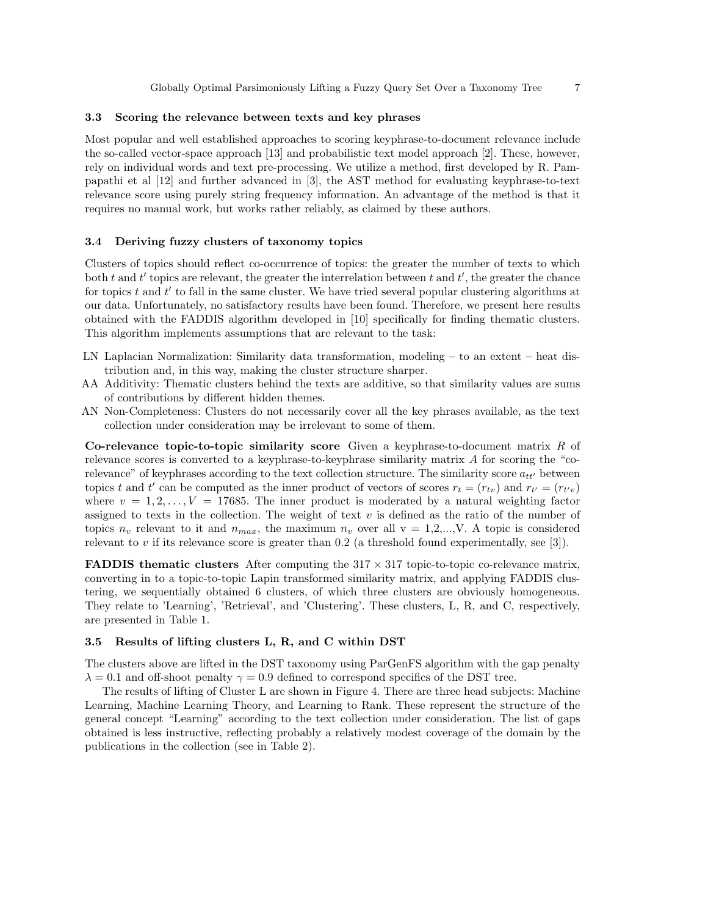#### 3.3 Scoring the relevance between texts and key phrases

Most popular and well established approaches to scoring keyphrase-to-document relevance include the so-called vector-space approach [13] and probabilistic text model approach [2]. These, however, rely on individual words and text pre-processing. We utilize a method, first developed by R. Pampapathi et al [12] and further advanced in [3], the AST method for evaluating keyphrase-to-text relevance score using purely string frequency information. An advantage of the method is that it requires no manual work, but works rather reliably, as claimed by these authors.

#### 3.4 Deriving fuzzy clusters of taxonomy topics

Clusters of topics should reflect co-occurrence of topics: the greater the number of texts to which both t and  $t'$  topics are relevant, the greater the interrelation between t and  $t'$ , the greater the chance for topics  $t$  and  $t'$  to fall in the same cluster. We have tried several popular clustering algorithms at our data. Unfortunately, no satisfactory results have been found. Therefore, we present here results obtained with the FADDIS algorithm developed in [10] specifically for finding thematic clusters. This algorithm implements assumptions that are relevant to the task:

- LN Laplacian Normalization: Similarity data transformation, modeling to an extent heat distribution and, in this way, making the cluster structure sharper.
- AA Additivity: Thematic clusters behind the texts are additive, so that similarity values are sums of contributions by different hidden themes.
- AN Non-Completeness: Clusters do not necessarily cover all the key phrases available, as the text collection under consideration may be irrelevant to some of them.

Co-relevance topic-to-topic similarity score Given a keyphrase-to-document matrix  $R$  of relevance scores is converted to a keyphrase-to-keyphrase similarity matrix A for scoring the "corelevance" of keyphrases according to the text collection structure. The similarity score  $a_{tt'}$  between topics t and t' can be computed as the inner product of vectors of scores  $r_t = (r_{tv})$  and  $r_{t'} = (r_{t'v})$ where  $v = 1, 2, ..., V = 17685$ . The inner product is moderated by a natural weighting factor assigned to texts in the collection. The weight of text  $v$  is defined as the ratio of the number of topics  $n_v$  relevant to it and  $n_{max}$ , the maximum  $n_v$  over all  $v = 1,2,...,V$ . A topic is considered relevant to v if its relevance score is greater than 0.2 (a threshold found experimentally, see [3]).

**FADDIS thematic clusters** After computing the  $317 \times 317$  topic-to-topic co-relevance matrix, converting in to a topic-to-topic Lapin transformed similarity matrix, and applying FADDIS clustering, we sequentially obtained 6 clusters, of which three clusters are obviously homogeneous. They relate to 'Learning', 'Retrieval', and 'Clustering'. These clusters, L, R, and C, respectively, are presented in Table 1.

## 3.5 Results of lifting clusters L, R, and C within DST

The clusters above are lifted in the DST taxonomy using ParGenFS algorithm with the gap penalty  $\lambda = 0.1$  and off-shoot penalty  $\gamma = 0.9$  defined to correspond specifics of the DST tree.

The results of lifting of Cluster L are shown in Figure 4. There are three head subjects: Machine Learning, Machine Learning Theory, and Learning to Rank. These represent the structure of the general concept "Learning" according to the text collection under consideration. The list of gaps obtained is less instructive, reflecting probably a relatively modest coverage of the domain by the publications in the collection (see in Table 2).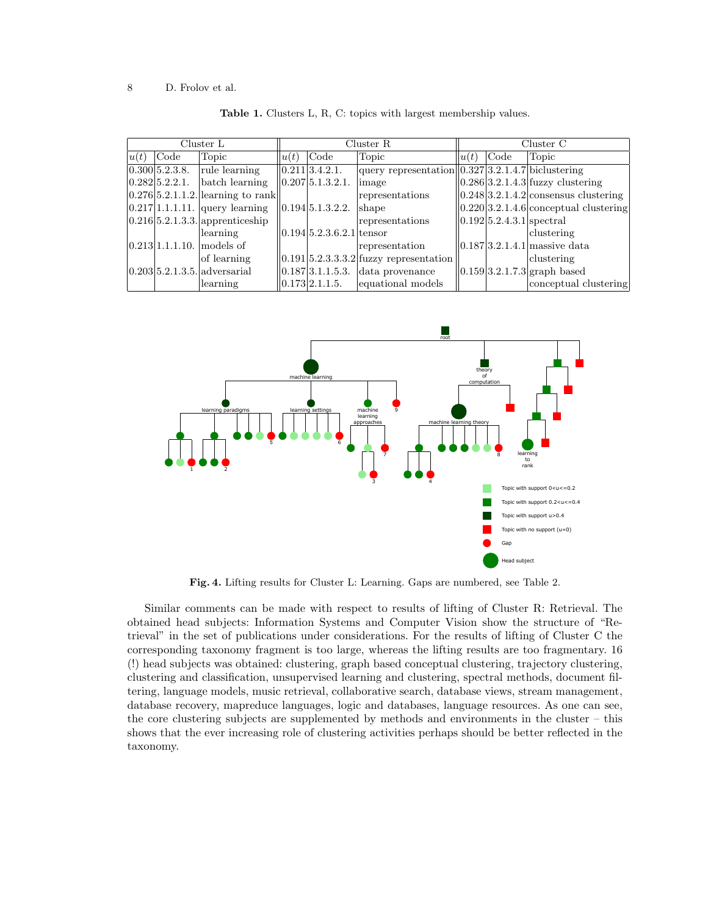| Cluster L |                |                                       | Cluster R |                                |                                                                  | Cluster C |                                           |                                                           |
|-----------|----------------|---------------------------------------|-----------|--------------------------------|------------------------------------------------------------------|-----------|-------------------------------------------|-----------------------------------------------------------|
| u(t)      | Code           | Topic                                 | u(t)      | Code                           | Topic                                                            | u(t)      | Code                                      | Topic                                                     |
|           | 0.300 5.2.3.8. | rule learning                         |           | 0.211 3.4.2.1.                 | query representation $\vert 0.327\rangle 3.2.1.4.7$ biclustering |           |                                           |                                                           |
|           | 0.282 5.2.2.1. | batch learning                        |           | $\vert 0.207 \vert 5.1.3.2.1.$ | image                                                            |           |                                           | $\left  0.286 \right  3.2.1.4.3 \right $ fuzzy clustering |
|           |                | $[0.276 5.2.1.1.2.]$ learning to rank |           |                                | representations                                                  |           |                                           | 0.248 3.2.1.4.2 consensus clustering                      |
|           |                | $[0.217]1.1.1.11.$ query learning     |           | 0.194 5.1.3.2.2.               | shape                                                            |           |                                           | $[0.220]3.2.1.4.6]$ conceptual clustering                 |
|           |                | $[0.216]$ 5.2.1.3.3. apprenticeship   |           |                                | representations                                                  |           | $\left  0.192 \right  5.2.4.3.1$ spectral |                                                           |
|           |                | learning                              |           | $ 0.194 5.2.3.6.2.1 $ tensor   |                                                                  |           |                                           | clustering                                                |
|           |                | $ 0.213 1.1.1.10.$ models of          |           |                                | representation                                                   |           |                                           | $  0.187 3.2.1.4.1 $ massive data                         |
|           |                | of learning                           |           |                                | $ 0.191 5.2.3.3.3.2 $ fuzzy representation                       |           |                                           | clustering                                                |
|           |                | $ 0.203 5.2.1.3.5 $ adversarial       |           | 0.187 3.1.1.5.3.               | data provenance                                                  |           |                                           | $[0.159]3.2.1.7.3]$ graph based                           |
|           |                | learning                              |           | 0.173 2.1.1.5.                 | equational models                                                |           |                                           | conceptual clustering                                     |

Table 1. Clusters L, R, C: topics with largest membership values.



Fig. 4. Lifting results for Cluster L: Learning. Gaps are numbered, see Table 2.

Similar comments can be made with respect to results of lifting of Cluster R: Retrieval. The obtained head subjects: Information Systems and Computer Vision show the structure of "Retrieval" in the set of publications under considerations. For the results of lifting of Cluster C the corresponding taxonomy fragment is too large, whereas the lifting results are too fragmentary. 16 (!) head subjects was obtained: clustering, graph based conceptual clustering, trajectory clustering, clustering and classification, unsupervised learning and clustering, spectral methods, document filtering, language models, music retrieval, collaborative search, database views, stream management, database recovery, mapreduce languages, logic and databases, language resources. As one can see, the core clustering subjects are supplemented by methods and environments in the cluster – this shows that the ever increasing role of clustering activities perhaps should be better reflected in the taxonomy.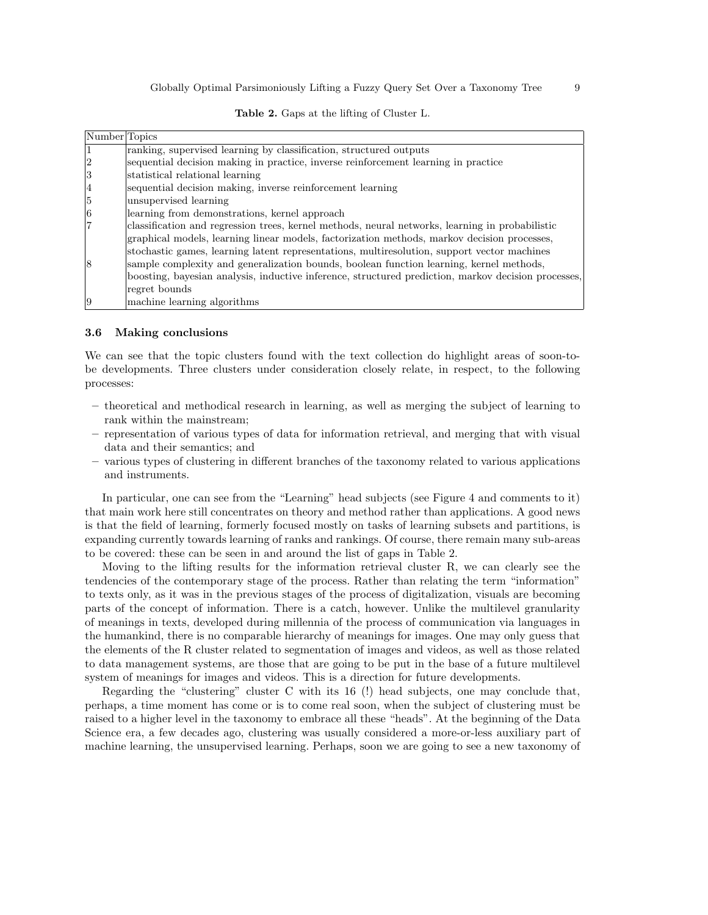Table 2. Gaps at the lifting of Cluster L.

| Number Topics |                                                                                                     |
|---------------|-----------------------------------------------------------------------------------------------------|
|               | ranking, supervised learning by classification, structured outputs                                  |
| 2             | sequential decision making in practice, inverse reinforcement learning in practice                  |
| 3             | statistical relational learning                                                                     |
| $\vert 4$     | sequential decision making, inverse reinforcement learning                                          |
| 5             | unsupervised learning                                                                               |
| 6             | learning from demonstrations, kernel approach                                                       |
|               | classification and regression trees, kernel methods, neural networks, learning in probabilistic     |
|               | graphical models, learning linear models, factorization methods, markov decision processes,         |
|               | stochastic games, learning latent representations, multiresolution, support vector machines         |
| 18            | sample complexity and generalization bounds, boolean function learning, kernel methods,             |
|               | boosting, bayesian analysis, inductive inference, structured prediction, markov decision processes, |
|               | regret bounds                                                                                       |
| 9             | machine learning algorithms                                                                         |

### 3.6 Making conclusions

We can see that the topic clusters found with the text collection do highlight areas of soon-tobe developments. Three clusters under consideration closely relate, in respect, to the following processes:

- theoretical and methodical research in learning, as well as merging the subject of learning to rank within the mainstream;
- representation of various types of data for information retrieval, and merging that with visual data and their semantics; and
- various types of clustering in different branches of the taxonomy related to various applications and instruments.

In particular, one can see from the "Learning" head subjects (see Figure 4 and comments to it) that main work here still concentrates on theory and method rather than applications. A good news is that the field of learning, formerly focused mostly on tasks of learning subsets and partitions, is expanding currently towards learning of ranks and rankings. Of course, there remain many sub-areas to be covered: these can be seen in and around the list of gaps in Table 2.

Moving to the lifting results for the information retrieval cluster R, we can clearly see the tendencies of the contemporary stage of the process. Rather than relating the term "information" to texts only, as it was in the previous stages of the process of digitalization, visuals are becoming parts of the concept of information. There is a catch, however. Unlike the multilevel granularity of meanings in texts, developed during millennia of the process of communication via languages in the humankind, there is no comparable hierarchy of meanings for images. One may only guess that the elements of the R cluster related to segmentation of images and videos, as well as those related to data management systems, are those that are going to be put in the base of a future multilevel system of meanings for images and videos. This is a direction for future developments.

Regarding the "clustering" cluster C with its 16 (!) head subjects, one may conclude that, perhaps, a time moment has come or is to come real soon, when the subject of clustering must be raised to a higher level in the taxonomy to embrace all these "heads". At the beginning of the Data Science era, a few decades ago, clustering was usually considered a more-or-less auxiliary part of machine learning, the unsupervised learning. Perhaps, soon we are going to see a new taxonomy of